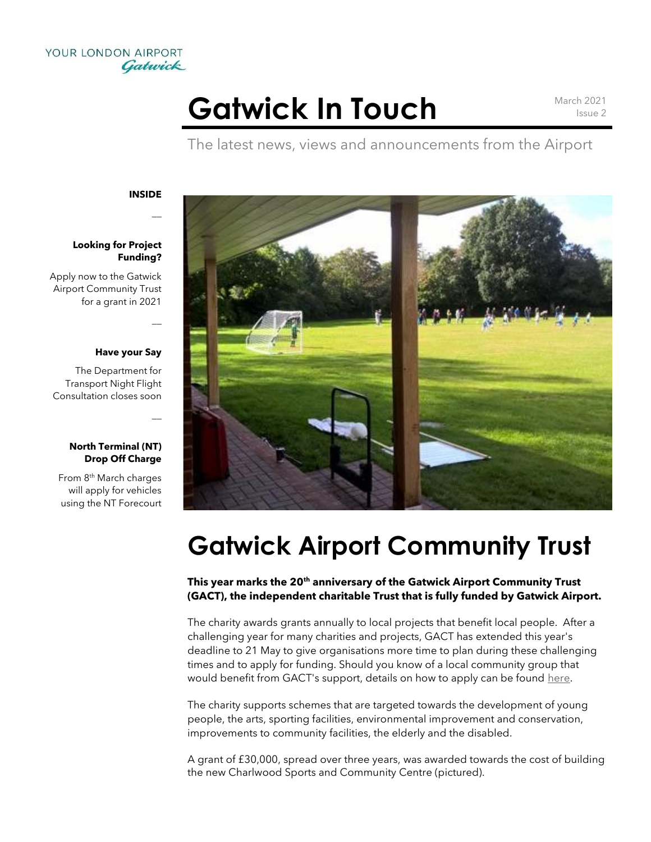

# Gatwick In Touch March 2021

Issue 2

The latest news, views and announcements from the Airport

**INSIDE**

 $\overline{a}$ 

 $\overline{a}$ 

 $\overline{a}$ 

### **Looking for Project Funding?**

Apply now to the Gatwick Airport Community Trust for a grant in 2021

#### **Have your Say**

The Department for Transport Night Flight Consultation closes soon

### **North Terminal (NT) Drop Off Charge**

From 8th March charges will apply for vehicles using the NT Forecourt



# **Gatwick Airport Community Trust**

## **This year marks the 20th anniversary of the Gatwick Airport Community Trust (GACT), the independent charitable Trust that is fully funded by Gatwick Airport.**

The charity awards grants annually to local projects that benefit local people. After a challenging year for many charities and projects, GACT has extended this year's deadline to 21 May to give organisations more time to plan during these challenging times and to apply for funding. Should you know of a local community group that would benefit from GACT's support, details on how to apply can be found here.

The charity supports schemes that are targeted towards the development of young people, the arts, sporting facilities, environmental improvement and conservation, improvements to community facilities, the elderly and the disabled.

A grant of £30,000, spread over three years, was awarded towards the cost of building the new Charlwood Sports and Community Centre (pictured).